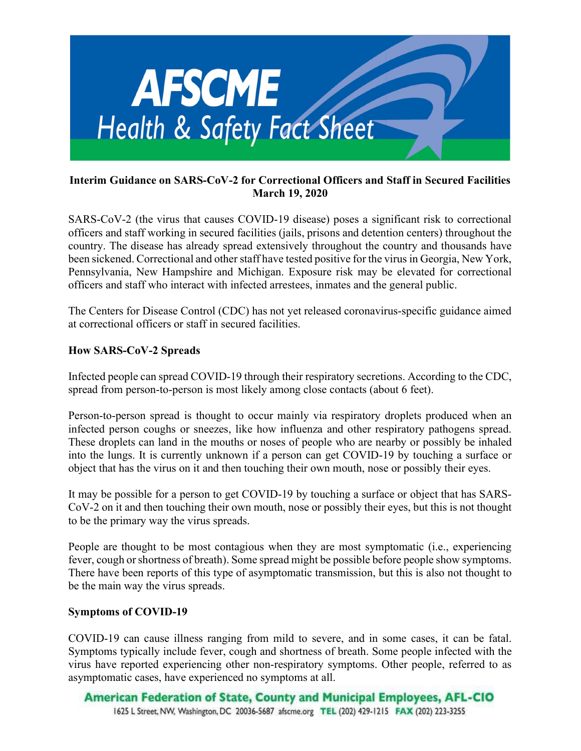

## Interim Guidance on SARS-CoV-2 for Correctional Officers and Staff in Secured Facilities March 19, 2020

SARS-CoV-2 (the virus that causes COVID-19 disease) poses a significant risk to correctional officers and staff working in secured facilities (jails, prisons and detention centers) throughout the country. The disease has already spread extensively throughout the country and thousands have been sickened. Correctional and other staff have tested positive for the virus in Georgia, New York, Pennsylvania, New Hampshire and Michigan. Exposure risk may be elevated for correctional officers and staff who interact with infected arrestees, inmates and the general public.

The Centers for Disease Control (CDC) has not yet released coronavirus-specific guidance aimed at correctional officers or staff in secured facilities.

# How SARS-CoV-2 Spreads

Infected people can spread COVID-19 through their respiratory secretions. According to the CDC, spread from person-to-person is most likely among close contacts (about 6 feet).

Person-to-person spread is thought to occur mainly via respiratory droplets produced when an infected person coughs or sneezes, like how influenza and other respiratory pathogens spread. These droplets can land in the mouths or noses of people who are nearby or possibly be inhaled into the lungs. It is currently unknown if a person can get COVID-19 by touching a surface or object that has the virus on it and then touching their own mouth, nose or possibly their eyes.

It may be possible for a person to get COVID-19 by touching a surface or object that has SARS-CoV-2 on it and then touching their own mouth, nose or possibly their eyes, but this is not thought to be the primary way the virus spreads.

People are thought to be most contagious when they are most symptomatic (i.e., experiencing fever, cough or shortness of breath). Some spread might be possible before people show symptoms. There have been reports of this type of asymptomatic transmission, but this is also not thought to be the main way the virus spreads.

### Symptoms of COVID-19

COVID-19 can cause illness ranging from mild to severe, and in some cases, it can be fatal. Symptoms typically include fever, cough and shortness of breath. Some people infected with the virus have reported experiencing other non-respiratory symptoms. Other people, referred to as asymptomatic cases, have experienced no symptoms at all.

American Federation of State, County and Municipal Employees, AFL-CIO 1625 L Street, NW, Washington, DC 20036-5687 afscme.org TEL (202) 429-1215 FAX (202) 223-3255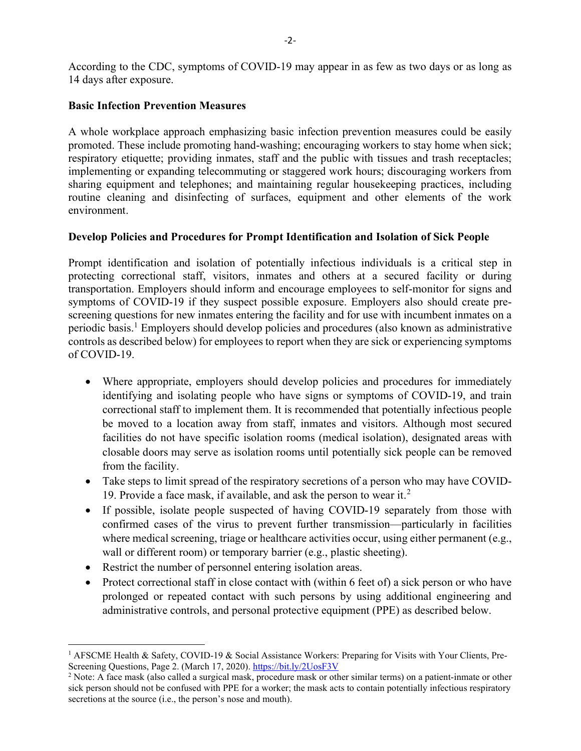According to the CDC, symptoms of COVID-19 may appear in as few as two days or as long as 14 days after exposure.

## Basic Infection Prevention Measures

A whole workplace approach emphasizing basic infection prevention measures could be easily promoted. These include promoting hand-washing; encouraging workers to stay home when sick; respiratory etiquette; providing inmates, staff and the public with tissues and trash receptacles; implementing or expanding telecommuting or staggered work hours; discouraging workers from sharing equipment and telephones; and maintaining regular housekeeping practices, including routine cleaning and disinfecting of surfaces, equipment and other elements of the work environment.

## Develop Policies and Procedures for Prompt Identification and Isolation of Sick People

Prompt identification and isolation of potentially infectious individuals is a critical step in protecting correctional staff, visitors, inmates and others at a secured facility or during transportation. Employers should inform and encourage employees to self-monitor for signs and symptoms of COVID-19 if they suspect possible exposure. Employers also should create prescreening questions for new inmates entering the facility and for use with incumbent inmates on a periodic basis.<sup>1</sup> Employers should develop policies and procedures (also known as administrative controls as described below) for employees to report when they are sick or experiencing symptoms of COVID-19.

- Where appropriate, employers should develop policies and procedures for immediately identifying and isolating people who have signs or symptoms of COVID-19, and train correctional staff to implement them. It is recommended that potentially infectious people be moved to a location away from staff, inmates and visitors. Although most secured facilities do not have specific isolation rooms (medical isolation), designated areas with closable doors may serve as isolation rooms until potentially sick people can be removed from the facility.
- Take steps to limit spread of the respiratory secretions of a person who may have COVID-19. Provide a face mask, if available, and ask the person to wear it. $2$
- If possible, isolate people suspected of having COVID-19 separately from those with confirmed cases of the virus to prevent further transmission—particularly in facilities where medical screening, triage or healthcare activities occur, using either permanent (e.g., wall or different room) or temporary barrier (e.g., plastic sheeting).
- Restrict the number of personnel entering isolation areas.
- Protect correctional staff in close contact with (within 6 feet of) a sick person or who have prolonged or repeated contact with such persons by using additional engineering and administrative controls, and personal protective equipment (PPE) as described below.

<sup>&</sup>lt;sup>1</sup> AFSCME Health & Safety, COVID-19 & Social Assistance Workers: Preparing for Visits with Your Clients, Pre-Screening Questions, Page 2. (March 17, 2020). https://bit.ly/2UosF3V

 $2$  Note: A face mask (also called a surgical mask, procedure mask or other similar terms) on a patient-inmate or other sick person should not be confused with PPE for a worker; the mask acts to contain potentially infectious respiratory secretions at the source (i.e., the person's nose and mouth).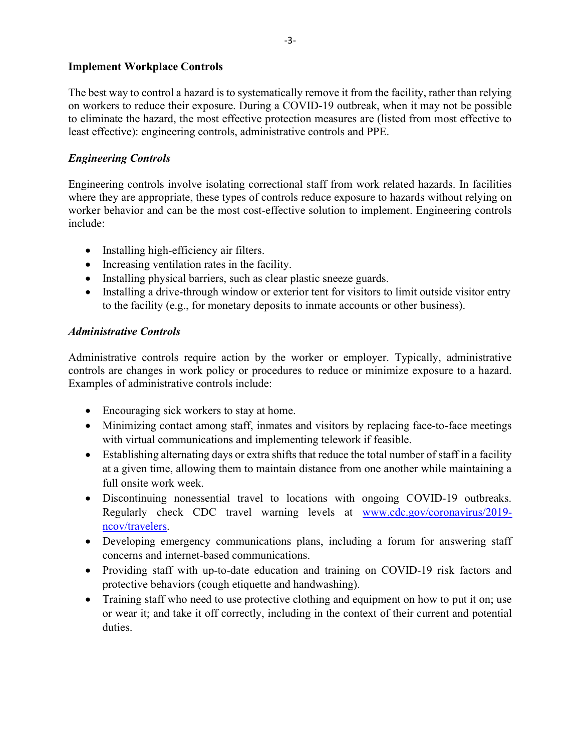### Implement Workplace Controls

The best way to control a hazard is to systematically remove it from the facility, rather than relying on workers to reduce their exposure. During a COVID-19 outbreak, when it may not be possible to eliminate the hazard, the most effective protection measures are (listed from most effective to least effective): engineering controls, administrative controls and PPE.

# Engineering Controls

Engineering controls involve isolating correctional staff from work related hazards. In facilities where they are appropriate, these types of controls reduce exposure to hazards without relying on worker behavior and can be the most cost-effective solution to implement. Engineering controls include:

- Installing high-efficiency air filters.
- Increasing ventilation rates in the facility.
- Installing physical barriers, such as clear plastic sneeze guards.
- Installing a drive-through window or exterior tent for visitors to limit outside visitor entry to the facility (e.g., for monetary deposits to inmate accounts or other business).

# Administrative Controls

Administrative controls require action by the worker or employer. Typically, administrative controls are changes in work policy or procedures to reduce or minimize exposure to a hazard. Examples of administrative controls include:

- Encouraging sick workers to stay at home.
- Minimizing contact among staff, inmates and visitors by replacing face-to-face meetings with virtual communications and implementing telework if feasible.
- Establishing alternating days or extra shifts that reduce the total number of staff in a facility at a given time, allowing them to maintain distance from one another while maintaining a full onsite work week.
- Discontinuing nonessential travel to locations with ongoing COVID-19 outbreaks. Regularly check CDC travel warning levels at www.cdc.gov/coronavirus/2019 ncov/travelers.
- Developing emergency communications plans, including a forum for answering staff concerns and internet-based communications.
- Providing staff with up-to-date education and training on COVID-19 risk factors and protective behaviors (cough etiquette and handwashing).
- Training staff who need to use protective clothing and equipment on how to put it on; use or wear it; and take it off correctly, including in the context of their current and potential duties.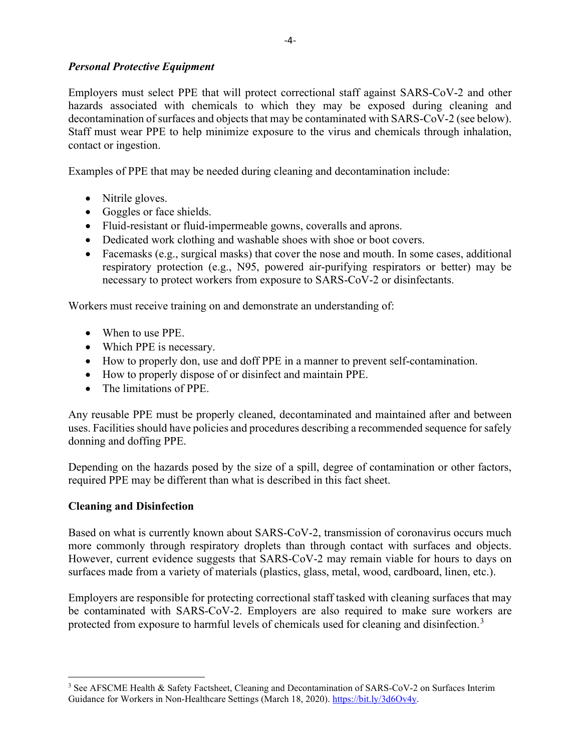# Personal Protective Equipment

Employers must select PPE that will protect correctional staff against SARS-CoV-2 and other hazards associated with chemicals to which they may be exposed during cleaning and decontamination of surfaces and objects that may be contaminated with SARS-CoV-2 (see below). Staff must wear PPE to help minimize exposure to the virus and chemicals through inhalation, contact or ingestion.

Examples of PPE that may be needed during cleaning and decontamination include:

- Nitrile gloves.
- Goggles or face shields.
- Fluid-resistant or fluid-impermeable gowns, coveralls and aprons.
- Dedicated work clothing and washable shoes with shoe or boot covers.
- Facemasks (e.g., surgical masks) that cover the nose and mouth. In some cases, additional respiratory protection (e.g., N95, powered air-purifying respirators or better) may be necessary to protect workers from exposure to SARS-CoV-2 or disinfectants.

Workers must receive training on and demonstrate an understanding of:

- When to use PPE.
- Which PPE is necessary.
- How to properly don, use and doff PPE in a manner to prevent self-contamination.
- How to properly dispose of or disinfect and maintain PPE.
- The limitations of PPE.

Any reusable PPE must be properly cleaned, decontaminated and maintained after and between uses. Facilities should have policies and procedures describing a recommended sequence for safely donning and doffing PPE.

Depending on the hazards posed by the size of a spill, degree of contamination or other factors, required PPE may be different than what is described in this fact sheet.

# Cleaning and Disinfection

Based on what is currently known about SARS-CoV-2, transmission of coronavirus occurs much more commonly through respiratory droplets than through contact with surfaces and objects. However, current evidence suggests that SARS-CoV-2 may remain viable for hours to days on surfaces made from a variety of materials (plastics, glass, metal, wood, cardboard, linen, etc.).

Employers are responsible for protecting correctional staff tasked with cleaning surfaces that may be contaminated with SARS-CoV-2. Employers are also required to make sure workers are protected from exposure to harmful levels of chemicals used for cleaning and disinfection.<sup>3</sup>

<sup>&</sup>lt;sup>3</sup> See AFSCME Health & Safety Factsheet, Cleaning and Decontamination of SARS-CoV-2 on Surfaces Interim Guidance for Workers in Non-Healthcare Settings (March 18, 2020). https://bit.ly/3d6Ov4y.